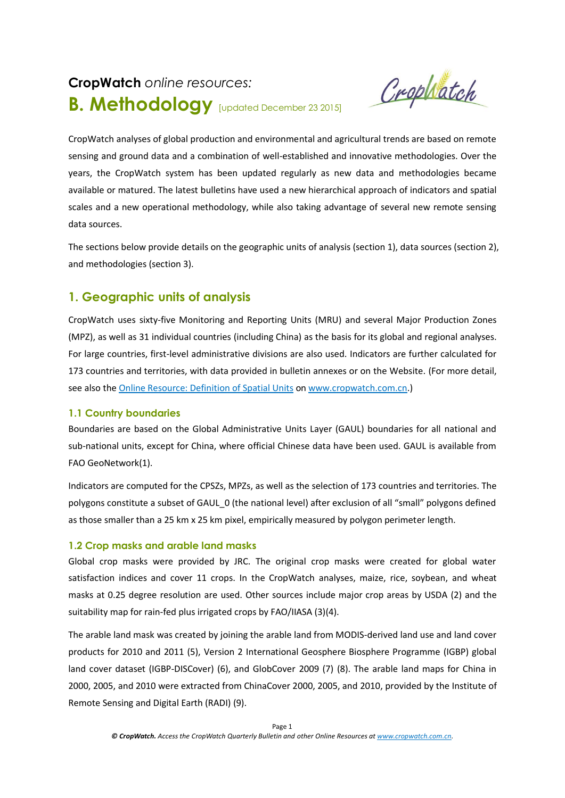# **CropWatch** *online resources:* **B. Methodology** [updated December <sup>23</sup> 2015]

Crophatch

CropWatch analyses of global production and environmental and agricultural trends are based on remote sensing and ground data and a combination of well-established and innovative methodologies. Over the years, the CropWatch system has been updated regularly as new data and methodologies became available or matured. The latest bulletins have used a new hierarchical approach of indicators and spatial scales and a new operational methodology, while also taking advantage of several new remote sensing data sources.

The sections below provide details on the geographic units of analysis (section 1), data sources (section 2), and methodologies (section 3).

# **1. Geographic units of analysis**

CropWatch uses sixty-five Monitoring and Reporting Units (MRU) and several Major Production Zones (MPZ), as well as 31 individual countries (including China) as the basis for its global and regional analyses. For large countries, first-level administrative divisions are also used. Indicators are further calculated for 173 countries and territories, with data provided in bulletin annexes or on the Website. (For more detail, see also the [Online Resource: Definition of Spatial Units](http://www.cropwatch.com.cn/htm/en/bullAction!showBulletin.action) on [www.cropwatch.com.cn.](http://www.cropwatch.com.cn/))

# **1.1 Country boundaries**

Boundaries are based on the Global Administrative Units Layer (GAUL) boundaries for all national and sub-national units, except for China, where official Chinese data have been used. GAUL is available from FAO GeoNetwork(1).

Indicators are computed for the CPSZs, MPZs, as well as the selection of 173 countries and territories. The polygons constitute a subset of GAUL\_0 (the national level) after exclusion of all "small" polygons defined as those smaller than a 25 km x 25 km pixel, empirically measured by polygon perimeter length.

# **1.2 Crop masks and arable land masks**

Global crop masks were provided by JRC. The original crop masks were created for global water satisfaction indices and cover 11 crops. In the CropWatch analyses, maize, rice, soybean, and wheat masks at 0.25 degree resolution are used. Other sources include major crop areas by USDA (2) and the suitability map for rain-fed plus irrigated crops by FAO/IIASA (3)(4).

The arable land mask was created by joining the arable land from MODIS-derived land use and land cover products for 2010 and 2011 (5), Version 2 International Geosphere Biosphere Programme (IGBP) global land cover dataset (IGBP-DISCover) (6), and GlobCover 2009 (7) (8). The arable land maps for China in 2000, 2005, and 2010 were extracted from ChinaCover 2000, 2005, and 2010, provided by the Institute of Remote Sensing and Digital Earth (RADI) (9).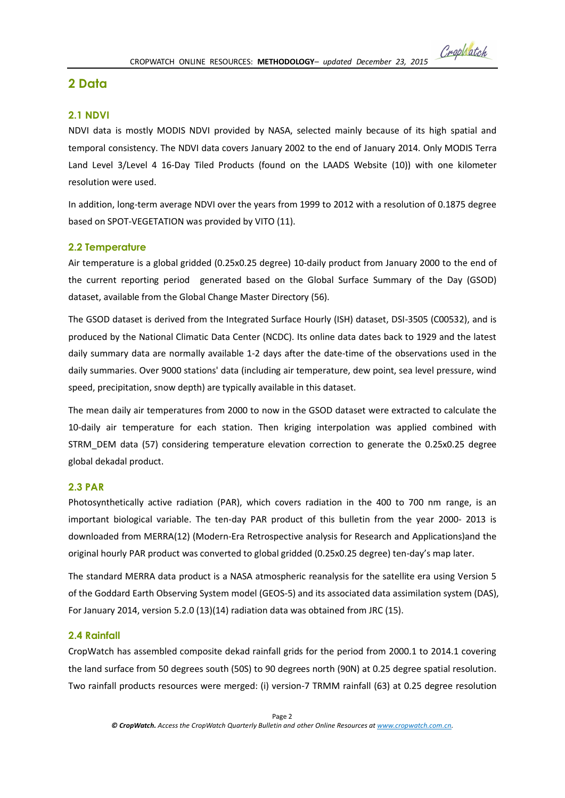# **2 Data**

# **2.1 NDVI**

NDVI data is mostly MODIS NDVI provided by NASA, selected mainly because of its high spatial and temporal consistency. The NDVI data covers January 2002 to the end of January 2014. Only MODIS Terra Land Level 3/Level 4 16-Day Tiled Products (found on the LAADS Website (10)) with one kilometer resolution were used.

In addition, long-term average NDVI over the years from 1999 to 2012 with a resolution of 0.1875 degree based on SPOT-VEGETATION was provided by VITO (11).

# **2.2 Temperature**

Air temperature is a global gridded (0.25x0.25 degree) 10-daily product from January 2000 to the end of the current reporting period generated based on the Global Surface Summary of the Day (GSOD) dataset, available from the Global Change Master Directory (56).

The GSOD dataset is derived from the Integrated Surface Hourly (ISH) dataset, DSI-3505 (C00532), and is produced by the National Climatic Data Center (NCDC). Its online data dates back to 1929 and the latest daily summary data are normally available 1-2 days after the date-time of the observations used in the daily summaries. Over 9000 stations' data (including air temperature, dew point, sea level pressure, wind speed, precipitation, snow depth) are typically available in this dataset.

The mean daily air temperatures from 2000 to now in the GSOD dataset were extracted to calculate the 10-daily air temperature for each station. Then kriging interpolation was applied combined with STRM\_DEM data (57) considering temperature elevation correction to generate the 0.25x0.25 degree global dekadal product.

# **2.3 PAR**

Photosynthetically active radiation (PAR), which covers radiation in the 400 to 700 nm range, is an important biological variable. The ten-day PAR product of this bulletin from the year 2000- 2013 is downloaded from MERRA(12) (Modern-Era Retrospective analysis for Research and Applications)and the original hourly PAR product was converted to global gridded (0.25x0.25 degree) ten-day's map later.

The standard MERRA data product is a NASA atmospheric reanalysis for the satellite era using Version 5 of the Goddard Earth Observing System model (GEOS-5) and its associated data assimilation system (DAS), For January 2014, version 5.2.0 (13)(14) radiation data was obtained from JRC (15).

# **2.4 Rainfall**

CropWatch has assembled composite dekad rainfall grids for the period from 2000.1 to 2014.1 covering the land surface from 50 degrees south (50S) to 90 degrees north (90N) at 0.25 degree spatial resolution. Two rainfall products resources were merged: (i) version-7 TRMM rainfall (63) at 0.25 degree resolution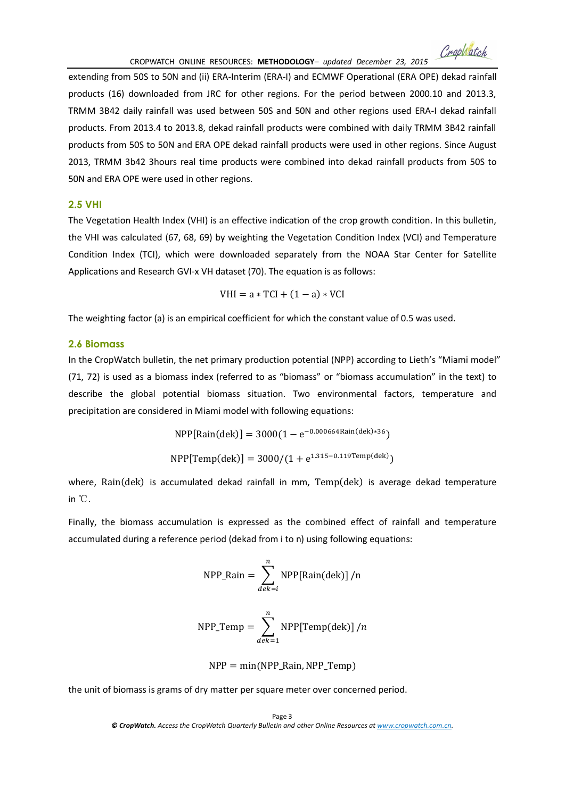extending from 50S to 50N and (ii) ERA-Interim (ERA-I) and ECMWF Operational (ERA OPE) dekad rainfall products (16) downloaded from JRC for other regions. For the period between 2000.10 and 2013.3, TRMM 3B42 daily rainfall was used between 50S and 50N and other regions used ERA-I dekad rainfall products. From 2013.4 to 2013.8, dekad rainfall products were combined with daily TRMM 3B42 rainfall products from 50S to 50N and ERA OPE dekad rainfall products were used in other regions. Since August 2013, TRMM 3b42 3hours real time products were combined into dekad rainfall products from 50S to 50N and ERA OPE were used in other regions.

## **2.5 VHI**

The Vegetation Health Index (VHI) is an effective indication of the crop growth condition. In this bulletin, the VHI was calculated (67, 68, 69) by weighting the Vegetation Condition Index (VCI) and Temperature Condition Index (TCI), which were downloaded separately from the NOAA Star Center for Satellite Applications and Research GVI-x VH dataset (70). The equation is as follows:

$$
VHI = a * TCI + (1 - a) * VCI
$$

The weighting factor (a) is an empirical coefficient for which the constant value of 0.5 was used.

#### **2.6 Biomass**

In the CropWatch bulletin, the net primary production potential (NPP) according to Lieth's "Miami model" (71, 72) is used as a biomass index (referred to as "biomass" or "biomass accumulation" in the text) to describe the global potential biomass situation. Two environmental factors, temperature and precipitation are considered in Miami model with following equations:

$$
NPP[Rain(dek)] = 3000(1 - e^{-0.000664Rain(dek)*36})
$$
  
NPP[Temp(dek)] = 3000/(1 + e<sup>1.315-0.119Temp(dek))</sup>

where, Rain(dek) is accumulated dekad rainfall in mm, Temp(dek) is average dekad temperature in ℃.

Finally, the biomass accumulation is expressed as the combined effect of rainfall and temperature accumulated during a reference period (dekad from i to n) using following equations:

$$
NPP_Rain = \sum_{dek=i}^{n} NPP[Rain(dek)]/n
$$

$$
NPP\_Temp = \sum_{dek=1}^{n} NPP[Temp(dek)]/n
$$

$$
NPP = min(NPP\_Rain, NPP\_Temp)
$$

the unit of biomass is grams of dry matter per square meter over concerned period.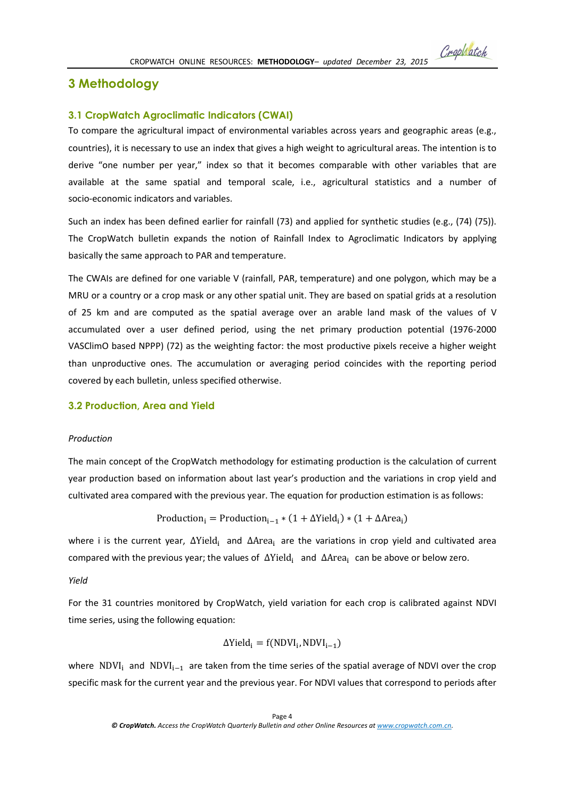# **3 Methodology**

#### **3.1 CropWatch Agroclimatic Indicators (CWAI)**

To compare the agricultural impact of environmental variables across years and geographic areas (e.g., countries), it is necessary to use an index that gives a high weight to agricultural areas. The intention is to derive "one number per year," index so that it becomes comparable with other variables that are available at the same spatial and temporal scale, i.e., agricultural statistics and a number of socio-economic indicators and variables.

Such an index has been defined earlier for rainfall (73) and applied for synthetic studies (e.g., (74) (75)). The CropWatch bulletin expands the notion of Rainfall Index to Agroclimatic Indicators by applying basically the same approach to PAR and temperature.

The CWAIs are defined for one variable V (rainfall, PAR, temperature) and one polygon, which may be a MRU or a country or a crop mask or any other spatial unit. They are based on spatial grids at a resolution of 25 km and are computed as the spatial average over an arable land mask of the values of V accumulated over a user defined period, using the net primary production potential (1976-2000 VASClimO based NPPP) (72) as the weighting factor: the most productive pixels receive a higher weight than unproductive ones. The accumulation or averaging period coincides with the reporting period covered by each bulletin, unless specified otherwise.

#### **3.2 Production, Area and Yield**

#### *Production*

The main concept of the CropWatch methodology for estimating production is the calculation of current year production based on information about last year's production and the variations in crop yield and cultivated area compared with the previous year. The equation for production estimation is as follows:

$$
Productioni = Productioni-1 * (1 + ΔYieldi) * (1 + ΔAreai)
$$

where i is the current year,  $ΔYield<sub>i</sub>$  and  $ΔArea<sub>i</sub>$  are the variations in crop yield and cultivated area compared with the previous year; the values of ∆Yield<sub>i</sub> and ∆Area<sub>i</sub> can be above or below zero.

#### *Yield*

For the 31 countries monitored by CropWatch, yield variation for each crop is calibrated against NDVI time series, using the following equation:

$$
\Delta \text{Yield}_i = f(\text{NDVI}_i, \text{NDVI}_{i-1})
$$

where NDVI<sub>i</sub> and NDVI<sub>i−1</sub> are taken from the time series of the spatial average of NDVI over the crop specific mask for the current year and the previous year. For NDVI values that correspond to periods after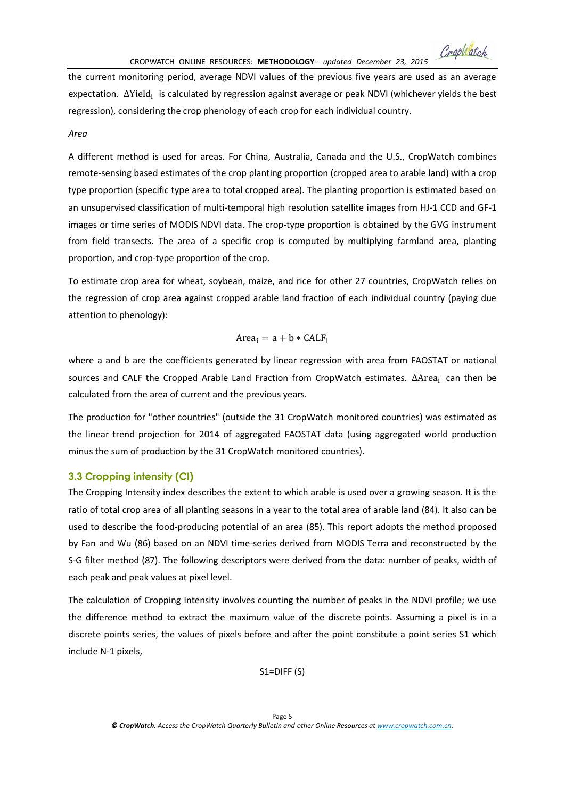Crophatch

the current monitoring period, average NDVI values of the previous five years are used as an average expectation. ∆Yield<sub>i</sub> is calculated by regression against average or peak NDVI (whichever yields the best regression), considering the crop phenology of each crop for each individual country.

#### *Area*

A different method is used for areas. For China, Australia, Canada and the U.S., CropWatch combines remote-sensing based estimates of the crop planting proportion (cropped area to arable land) with a crop type proportion (specific type area to total cropped area). The planting proportion is estimated based on an unsupervised classification of multi-temporal high resolution satellite images from HJ-1 CCD and GF-1 images or time series of MODIS NDVI data. The crop-type proportion is obtained by the GVG instrument from field transects. The area of a specific crop is computed by multiplying farmland area, planting proportion, and crop-type proportion of the crop.

To estimate crop area for wheat, soybean, maize, and rice for other 27 countries, CropWatch relies on the regression of crop area against cropped arable land fraction of each individual country (paying due attention to phenology):

$$
Area_i = a + b * CALF_i
$$

where a and b are the coefficients generated by linear regression with area from FAOSTAT or national sources and CALF the Cropped Arable Land Fraction from CropWatch estimates. ΔArea<sub>i</sub> can then be calculated from the area of current and the previous years.

The production for "other countries" (outside the 31 CropWatch monitored countries) was estimated as the linear trend projection for 2014 of aggregated FAOSTAT data (using aggregated world production minus the sum of production by the 31 CropWatch monitored countries).

#### **3.3 Cropping intensity (CI)**

The Cropping Intensity index describes the extent to which arable is used over a growing season. It is the ratio of total crop area of all planting seasons in a year to the total area of arable land (84). It also can be used to describe the food-producing potential of an area (85). This report adopts the method proposed by Fan and Wu (86) based on an NDVI time-series derived from MODIS Terra and reconstructed by the S-G filter method (87). The following descriptors were derived from the data: number of peaks, width of each peak and peak values at pixel level.

The calculation of Cropping Intensity involves counting the number of peaks in the NDVI profile; we use the difference method to extract the maximum value of the discrete points. Assuming a pixel is in a discrete points series, the values of pixels before and after the point constitute a point series S1 which include N-1 pixels,

S1=DIFF (S)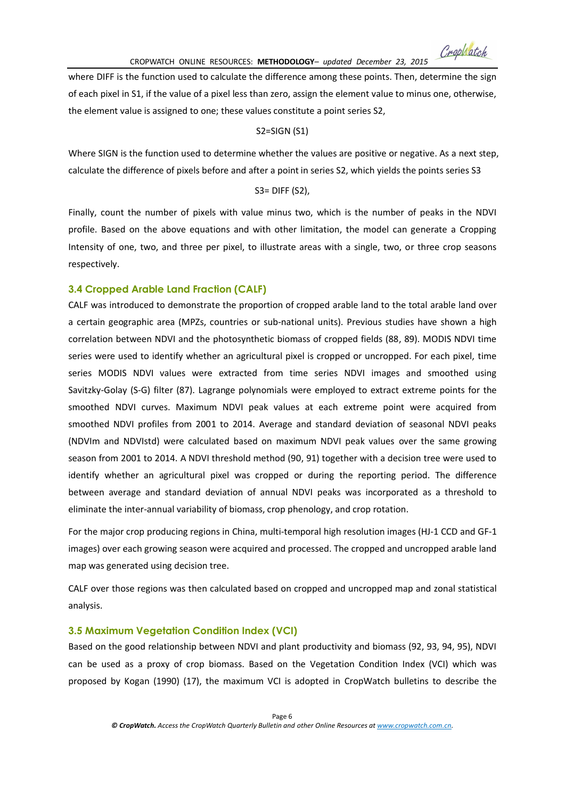CropWatch

where DIFF is the function used to calculate the difference among these points. Then, determine the sign of each pixel in S1, if the value of a pixel less than zero, assign the element value to minus one, otherwise, the element value is assigned to one; these values constitute a point series S2,

#### S2=SIGN (S1)

Where SIGN is the function used to determine whether the values are positive or negative. As a next step, calculate the difference of pixels before and after a point in series S2, which yields the points series S3

S3= DIFF (S2),

Finally, count the number of pixels with value minus two, which is the number of peaks in the NDVI profile. Based on the above equations and with other limitation, the model can generate a Cropping Intensity of one, two, and three per pixel, to illustrate areas with a single, two, or three crop seasons respectively.

### **3.4 Cropped Arable Land Fraction (CALF)**

CALF was introduced to demonstrate the proportion of cropped arable land to the total arable land over a certain geographic area (MPZs, countries or sub-national units). Previous studies have shown a high correlation between NDVI and the photosynthetic biomass of cropped fields (88, 89). MODIS NDVI time series were used to identify whether an agricultural pixel is cropped or uncropped. For each pixel, time series MODIS NDVI values were extracted from time series NDVI images and smoothed using Savitzky-Golay (S-G) filter (87). Lagrange polynomials were employed to extract extreme points for the smoothed NDVI curves. Maximum NDVI peak values at each extreme point were acquired from smoothed NDVI profiles from 2001 to 2014. Average and standard deviation of seasonal NDVI peaks (NDVIm and NDVIstd) were calculated based on maximum NDVI peak values over the same growing season from 2001 to 2014. A NDVI threshold method (90, 91) together with a decision tree were used to identify whether an agricultural pixel was cropped or during the reporting period. The difference between average and standard deviation of annual NDVI peaks was incorporated as a threshold to eliminate the inter-annual variability of biomass, crop phenology, and crop rotation.

For the major crop producing regions in China, multi-temporal high resolution images (HJ-1 CCD and GF-1 images) over each growing season were acquired and processed. The cropped and uncropped arable land map was generated using decision tree.

CALF over those regions was then calculated based on cropped and uncropped map and zonal statistical analysis.

#### **3.5 Maximum Vegetation Condition Index (VCI)**

Based on the good relationship between NDVI and plant productivity and biomass (92, 93, 94, 95), NDVI can be used as a proxy of crop biomass. Based on the Vegetation Condition Index (VCI) which was proposed by Kogan (1990) (17), the maximum VCI is adopted in CropWatch bulletins to describe the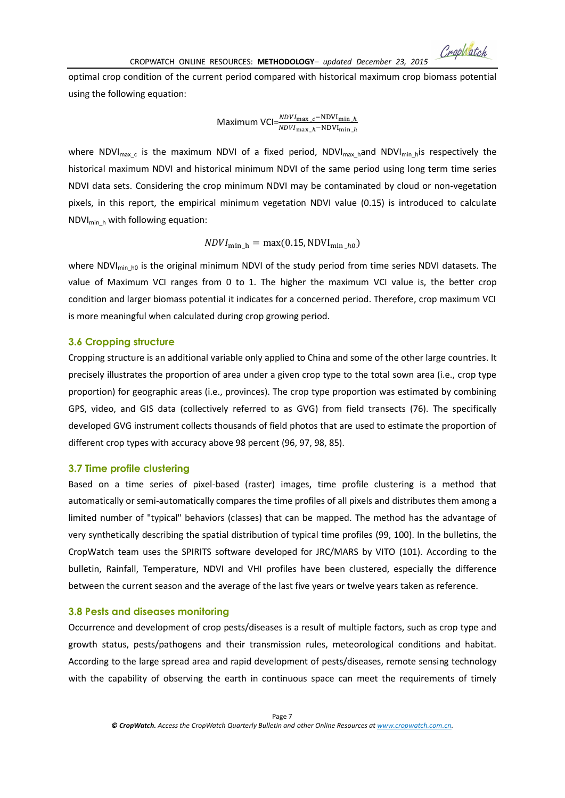optimal crop condition of the current period compared with historical maximum crop biomass potential using the following equation:

Maximum VCI= $\frac{NDVI_{\max_{c}}-NDVI_{\min_{h}}}{NDVI_{\max_{h}}-NDVI_{\min_{h}}+NDVI_{\min_{h}}+NDVI_{\min_{h}}+NDVI_{\min_{h}}+NDVI_{\min_{h}}+NDVI_{\min_{h}}+NDVI_{\min_{h}}+NDVI_{\min_{h}}+NDVI_{\min_{h}}+NDVI_{\min_{h}}+NDVI_{\min_{h}}+NDVI_{\min_{h}}+NDVI_{\min_{h}}+NDVI_{\min_{h}}+NDVI_{\min_{h}}+NDVI_{\min_{h}}+NDVI_{\min_{h}}+NDVI_{\min_{h}}+NDVI_{\min_{h}}+NDVI_{\min_{h}}$ 

where NDVI<sub>max c</sub> is the maximum NDVI of a fixed period, NDVI<sub>max h</sub>and NDVI<sub>min h</sub>is respectively the historical maximum NDVI and historical minimum NDVI of the same period using long term time series NDVI data sets. Considering the crop minimum NDVI may be contaminated by cloud or non-vegetation pixels, in this report, the empirical minimum vegetation NDVI value (0.15) is introduced to calculate  $NDVI<sub>min h</sub>$  with following equation:

$$
NDVI_{\min\_{h}} = \max(0.15, \text{NDVI}_{\min\_{h0}})
$$

where NDVI $_{\text{min}}$  h<sub>0</sub> is the original minimum NDVI of the study period from time series NDVI datasets. The value of Maximum VCI ranges from 0 to 1. The higher the maximum VCI value is, the better crop condition and larger biomass potential it indicates for a concerned period. Therefore, crop maximum VCI is more meaningful when calculated during crop growing period.

#### **3.6 Cropping structure**

Cropping structure is an additional variable only applied to China and some of the other large countries. It precisely illustrates the proportion of area under a given crop type to the total sown area (i.e., crop type proportion) for geographic areas (i.e., provinces). The crop type proportion was estimated by combining GPS, video, and GIS data (collectively referred to as GVG) from field transects (76). The specifically developed GVG instrument collects thousands of field photos that are used to estimate the proportion of different crop types with accuracy above 98 percent (96, 97, 98, 85).

### **3.7 Time profile clustering**

Based on a time series of pixel-based (raster) images, time profile clustering is a method that automatically or semi-automatically compares the time profiles of all pixels and distributes them among a limited number of "typical" behaviors (classes) that can be mapped. The method has the advantage of very synthetically describing the spatial distribution of typical time profiles (99, 100). In the bulletins, the CropWatch team uses the SPIRITS software developed for JRC/MARS by VITO (101). According to the bulletin, Rainfall, Temperature, NDVI and VHI profiles have been clustered, especially the difference between the current season and the average of the last five years or twelve years taken as reference.

#### **3.8 Pests and diseases monitoring**

Occurrence and development of crop pests/diseases is a result of multiple factors, such as crop type and growth status, pests/pathogens and their transmission rules, meteorological conditions and habitat. According to the large spread area and rapid development of pests/diseases, remote sensing technology with the capability of observing the earth in continuous space can meet the requirements of timely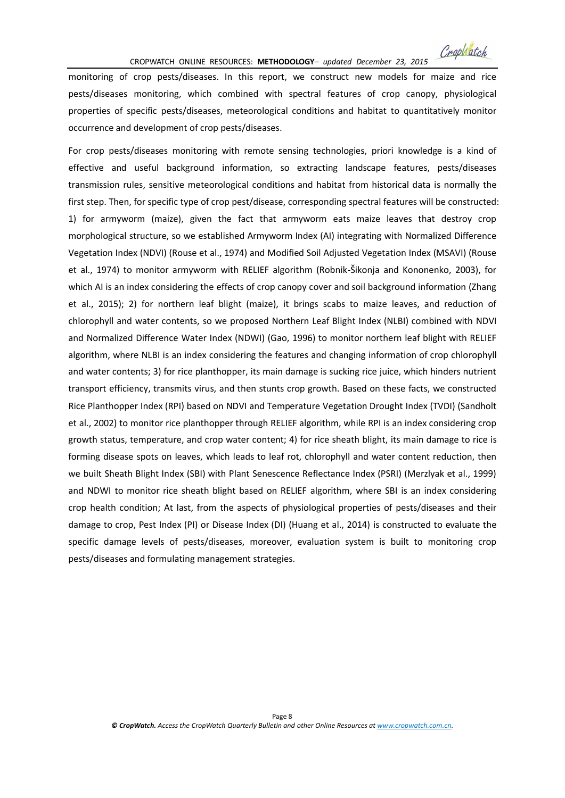Crophatch

monitoring of crop pests/diseases. In this report, we construct new models for maize and rice pests/diseases monitoring, which combined with spectral features of crop canopy, physiological properties of specific pests/diseases, meteorological conditions and habitat to quantitatively monitor occurrence and development of crop pests/diseases.

For crop pests/diseases monitoring with remote sensing technologies, priori knowledge is a kind of effective and useful background information, so extracting landscape features, pests/diseases transmission rules, sensitive meteorological conditions and habitat from historical data is normally the first step. Then, for specific type of crop pest/disease, corresponding spectral features will be constructed: 1) for armyworm (maize), given the fact that armyworm eats maize leaves that destroy crop morphological structure, so we established Armyworm Index (AI) integrating with Normalized Difference Vegetation Index (NDVI) (Rouse et al., 1974) and Modified Soil Adjusted Vegetation Index (MSAVI) (Rouse et al., 1974) to monitor armyworm with RELIEF algorithm (Robnik-Šikonja and Kononenko, 2003), for which AI is an index considering the effects of crop canopy cover and soil background information (Zhang et al., 2015); 2) for northern leaf blight (maize), it brings scabs to maize leaves, and reduction of chlorophyll and water contents, so we proposed Northern Leaf Blight Index (NLBI) combined with NDVI and Normalized Difference Water Index (NDWI) (Gao, 1996) to monitor northern leaf blight with RELIEF algorithm, where NLBI is an index considering the features and changing information of crop chlorophyll and water contents; 3) for rice planthopper, its main damage is sucking rice juice, which hinders nutrient transport efficiency, transmits virus, and then stunts crop growth. Based on these facts, we constructed Rice Planthopper Index (RPI) based on NDVI and Temperature Vegetation Drought Index (TVDI) (Sandholt et al., 2002) to monitor rice planthopper through RELIEF algorithm, while RPI is an index considering crop growth status, temperature, and crop water content; 4) for rice sheath blight, its main damage to rice is forming disease spots on leaves, which leads to leaf rot, chlorophyll and water content reduction, then we built Sheath Blight Index (SBI) with Plant Senescence Reflectance Index (PSRI) (Merzlyak et al., 1999) and NDWI to monitor rice sheath blight based on RELIEF algorithm, where SBI is an index considering crop health condition; At last, from the aspects of physiological properties of pests/diseases and their damage to crop, Pest Index (PI) or Disease Index (DI) (Huang et al., 2014) is constructed to evaluate the specific damage levels of pests/diseases, moreover, evaluation system is built to monitoring crop pests/diseases and formulating management strategies.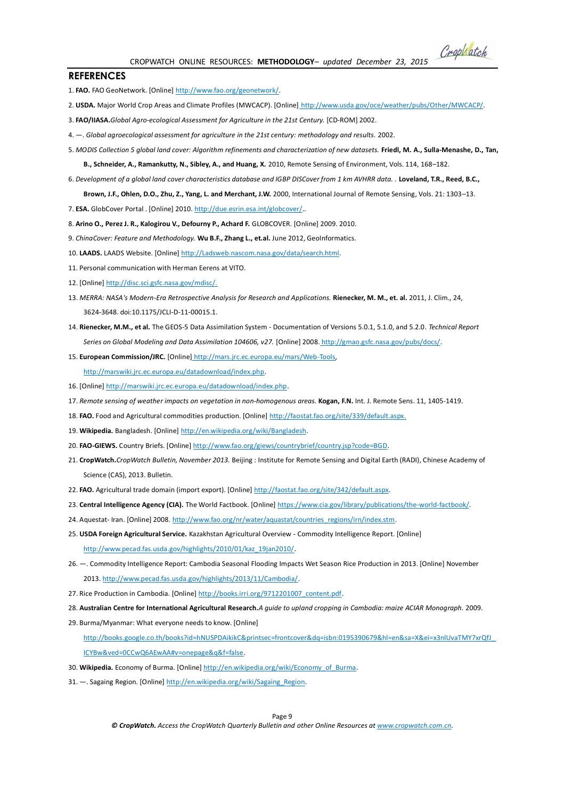CROPWATCH ONLINE RESOURCES: **METHODOLOGY***– updated December 23, 2015*

#### **REFERENCES**

- 1. **FAO.** FAO GeoNetwork. [Online[\] http://www.fao.org/geonetwork/.](http://www.fao.org/geonetwork/)
- 2. **USDA.** Major World Crop Areas and Climate Profiles (MWCACP). [Online] [http://www.usda.gov/oce/weather/pubs/Other/MWCACP/.](http://www.usda.gov/oce/weather/pubs/Other/MWCACP/)
- 3. **FAO/IIASA.***Global Agro-ecological Assessment for Agriculture in the 21st Century.* [CD-ROM] 2002.
- 4. —. *Global agroecological assessment for agriculture in the 21st century: methodology and results.* 2002.
- 5. *MODIS Collection 5 global land cover: Algorithm refinements and characterization of new datasets.* **Friedl, M. A., Sulla-Menashe, D., Tan,**

**B., Schneider, A., Ramankutty, N., Sibley, A., and Huang, X.** 2010, Remote Sensing of Environment, Vols. 114, 168–182.

- 6. *Development of a global land cover characteristics database and IGBP DISCover from 1 km AVHRR data. .* **Loveland, T.R., Reed, B.C., Brown, J.F., Ohlen, D.O., Zhu, Z., Yang, L. and Merchant, J.W.** 2000, International Journal of Remote Sensing, Vols. 21: 1303–13.
- 7. **ESA.** GlobCover Portal . [Online] 2010[. http://due.esrin.esa.int/globcover/..](http://due.esrin.esa.int/globcover/)
- 8. **Arino O., Perez J. R., Kalogirou V., Defourny P., Achard F.** GLOBCOVER. [Online] 2009. 2010.
- 9. *ChinaCover: Feature and Methodology.* **Wu B.F., Zhang L., et.al.** June 2012, GeoInformatics.
- 10. **LAADS.** LAADS Website. [Online[\] http://Ladsweb.nascom.nasa.gov/data/search.html.](http://ladsweb.nascom.nasa.gov/data/search.html)
- 11. Personal communication with Herman Eerens at VITO.
- 12. [Online] [http://disc.sci.gsfc.nasa.gov/mdisc/.](http://disc.sci.gsfc.nasa.gov/mdisc/)
- 13. MERRA: NASA's Modern-Era Retrospective Analysis for Research and Applications. Rienecker, M. M., et. al. 2011, J. Clim., 24, 3624-3648. doi:10.1175/JCLI-D-11-00015.1.
- 14. **Rienecker, M.M., et al.** The GEOS-5 Data Assimilation System Documentation of Versions 5.0.1, 5.1.0, and 5.2.0. *Technical Report Series on Global Modeling and Data Assimilation 104606, v27.* [Online] 2008. [http://gmao.gsfc.nasa.gov/pubs/docs/.](http://gmao.gsfc.nasa.gov/pubs/docs/)
- 15. **European Commission/JRC.** [Online] [http://mars.jrc.ec.europa.eu/mars/Web-Tools,](http://mars.jrc.ec.europa.eu/mars/Web-Tools)

[http://marswiki.jrc.ec.europa.eu/datadownload/index.php.](http://marswiki.jrc.ec.europa.eu/datadownload/index.php)

- 16. [Online] [http://marswiki.jrc.ec.europa.eu/datadownload/index.php.](http://marswiki.jrc.ec.europa.eu/datadownload/index.php)
- 17. *Remote sensing of weather impacts on vegetation in non-homogenous areas.* **Kogan, F.N.** Int. J. Remote Sens. 11, 1405-1419.
- 18. **FAO.** Food and Agricultural commodities production. [Online[\] http://faostat.fao.org/site/339/default.aspx.](http://faostat.fao.org/site/339/default.aspx.)
- 19. **Wikipedia.** Bangladesh. [Online[\] http://en.wikipedia.org/wiki/Bangladesh.](http://en.wikipedia.org/wiki/Bangladesh)
- 20. **FAO-GIEWS.** Country Briefs. [Online] [http://www.fao.org/giews/countrybrief/country.jsp?code=BGD.](http://www.fao.org/giews/countrybrief/country.jsp?code=BGD)
- 21. **CropWatch.***CropWatch Bulletin, November 2013.* Beijing : Institute for Remote Sensing and Digital Earth (RADI), Chinese Academy of Science (CAS), 2013. Bulletin.
- 22. **FAO.** Agricultural trade domain (import export). [Online] [http://faostat.fao.org/site/342/default.aspx.](http://faostat.fao.org/site/342/default.aspx)
- 23. **Central Intelligence Agency (CIA).** The World Factbook. [Online] [https://www.cia.gov/library/publications/the-world-factbook/.](https://www.cia.gov/library/publications/the-world-factbook/)
- 24. Aquestat- Iran. [Online] 2008. [http://www.fao.org/nr/water/aquastat/countries\\_regions/irn/index.stm.](http://www.fao.org/nr/water/aquastat/countries_regions/irn/index.stm)
- 25. **USDA Foreign Agricultural Service.** Kazakhstan Agricultural Overview Commodity Intelligence Report. [Online] [http://www.pecad.fas.usda.gov/highlights/2010/01/kaz\\_19jan2010/.](http://www.pecad.fas.usda.gov/highlights/2010/01/kaz_19jan2010/)
- 26. —. Commodity Intelligence Report: Cambodia Seasonal Flooding Impacts Wet Season Rice Production in 2013. [Online] November 2013[. http://www.pecad.fas.usda.gov/highlights/2013/11/Cambodia/.](http://www.pecad.fas.usda.gov/highlights/2013/11/Cambodia/)
- 27. Rice Production in Cambodia. [Online[\] http://books.irri.org/9712201007\\_content.pdf.](http://books.irri.org/9712201007_content.pdf)
- 28. **Australian Centre for International Agricultural Research.***A guide to upland cropping in Cambodia: maize ACIAR Monograph.* 2009.
- 29. Burma/Myanmar: What everyone needs to know. [Online]

[http://books.google.co.th/books?id=hNUSPDAikikC&printsec=frontcover&dq=isbn:0195390679&hl=en&sa=X&ei=x3nlUvaTMY7xrQfJ\\_](http://books.google.co.th/books?id=hNUSPDAikikC&printsec=frontcover&dq=isbn:0195390679&hl=en&sa=X&ei=x3nlUvaTMY7xrQfJ_ICYBw&ved=0CCwQ6AEwAA%23v=onepage&q&f=false) [ICYBw&ved=0CCwQ6AEwAA#v=onepage&q&f=false.](http://books.google.co.th/books?id=hNUSPDAikikC&printsec=frontcover&dq=isbn:0195390679&hl=en&sa=X&ei=x3nlUvaTMY7xrQfJ_ICYBw&ved=0CCwQ6AEwAA%23v=onepage&q&f=false)

- 30. **Wikipedia.** Economy of Burma. [Online] [http://en.wikipedia.org/wiki/Economy\\_of\\_Burma.](http://en.wikipedia.org/wiki/Economy_of_Burma)
- 31. Sagaing Region. [Online[\] http://en.wikipedia.org/wiki/Sagaing\\_Region.](http://en.wikipedia.org/wiki/Sagaing_Region)

Page 9

*© CropWatch. Access the CropWatch Quarterly Bulletin and other Online Resources at www.cropwatch.com.cn.*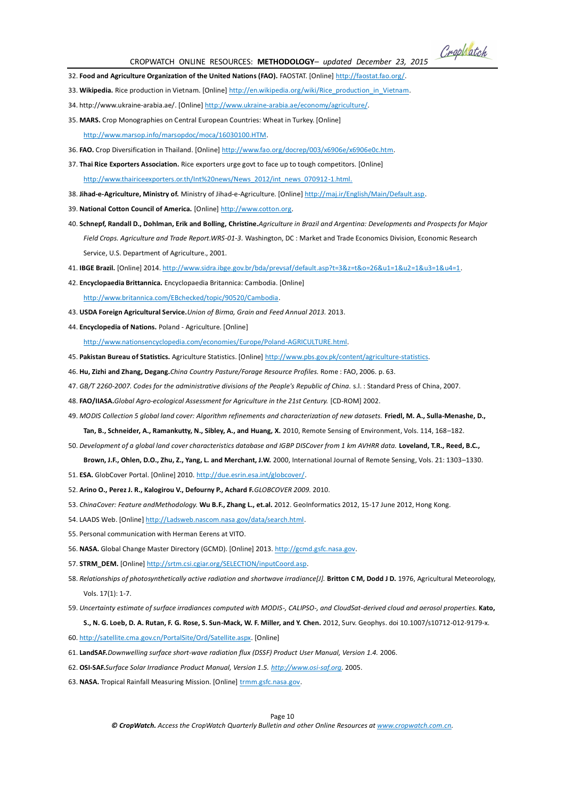Crophatch

- 32. **Food and Agriculture Organization of the United Nations (FAO).** FAOSTAT. [Online] [http://faostat.fao.org/.](http://faostat.fao.org/)
- 33. Wikipedia. Rice production in Vietnam. [Online[\] http://en.wikipedia.org/wiki/Rice\\_production\\_in\\_Vietnam.](http://en.wikipedia.org/wiki/Rice_production_in_Vietnam)
- 34. http://www.ukraine-arabia.ae/. [Online[\] http://www.ukraine-arabia.ae/economy/agriculture/.](http://www.ukraine-arabia.ae/economy/agriculture/)
- 35. **MARS.** Crop Monographies on Central European Countries: Wheat in Turkey. [Online] [http://www.marsop.info/marsopdoc/moca/16030100.HTM.](http://www.marsop.info/marsopdoc/moca/16030100.HTM)
- 36. **FAO.** Crop Diversification in Thailand. [Online] [http://www.fao.org/docrep/003/x6906e/x6906e0c.htm.](http://www.fao.org/docrep/003/x6906e/x6906e0c.htm)
- 37. **Thai Rice Exporters Association.** Rice exporters urge govt to face up to tough competitors. [Online] [http://www.thairiceexporters.or.th/Int%20news/News\\_2012/int\\_news\\_070912-1.html.](http://www.thairiceexporters.or.th/Int%20news/News_2012/int_news_070912-1.html.)
- 38. **Jihad-e-Agriculture, Ministry of.** Ministry of Jihad-e-Agriculture. [Online[\] http://maj.ir/English/Main/Default.asp.](http://maj.ir/English/Main/Default.asp)
- 39. **National Cotton Council of America.** [Online[\] http://www.cotton.org.](http://www.cotton.org/)
- 40. **Schnepf, Randall D., Dohlman, Erik and Bolling, Christine.***Agriculture in Brazil and Argentina: Developments and Prospects for Major Field Crops. Agriculture and Trade Report.WRS-01-3.* Washington, DC : Market and Trade Economics Division, Economic Research Service, U.S. Department of Agriculture., 2001.
- 41. **IBGE Brazil.** [Online] 2014[. http://www.sidra.ibge.gov.br/bda/prevsaf/default.asp?t=3&z=t&o=26&u1=1&u2=1&u3=1&u4=1.](http://www.sidra.ibge.gov.br/bda/prevsaf/default.asp?t=3&z=t&o=26&u1=1&u2=1&u3=1&u4=1)
- 42. **Encyclopaedia Brittannica.** Encyclopaedia Britannica: Cambodia. [Online] [http://www.britannica.com/EBchecked/topic/90520/Cambodia.](http://www.britannica.com/EBchecked/topic/90520/Cambodia)
- 43. **USDA Foreign Agricultural Service.***Union of Birma, Grain and Feed Annual 2013.* 2013.
- 44. **Encyclopedia of Nations.** Poland Agriculture. [Online]

[http://www.nationsencyclopedia.com/economies/Europe/Poland-AGRICULTURE.html.](http://www.nationsencyclopedia.com/economies/Europe/Poland-AGRICULTURE.html)

- 45. **Pakistan Bureau of Statistics.** Agriculture Statistics. [Online[\] http://www.pbs.gov.pk/content/agriculture-statistics.](http://www.pbs.gov.pk/content/agriculture-statistics)
- 46. **Hu, Zizhi and Zhang, Degang.***China Country Pasture/Forage Resource Profiles.* Rome : FAO, 2006. p. 63.
- 47. *GB/T 2260-2007. Codes for the administrative divisions of the People's Republic of China.* s.l. : Standard Press of China, 2007.
- 48. **FAO/IIASA.***Global Agro-ecological Assessment for Agriculture in the 21st Century.* [CD-ROM] 2002.
- 49. *MODIS Collection 5 global land cover: Algorithm refinements and characterization of new datasets.* **Friedl, M. A., Sulla-Menashe, D., Tan, B., Schneider, A., Ramankutty, N., Sibley, A., and Huang, X.** 2010, Remote Sensing of Environment, Vols. 114, 168–182.
- 50. *Development of a global land cover characteristics database and IGBP DISCover from 1 km AVHRR data.* **Loveland, T.R., Reed, B.C., Brown, J.F., Ohlen, D.O., Zhu, Z., Yang, L. and Merchant, J.W.** 2000, International Journal of Remote Sensing, Vols. 21: 1303–1330.
- 51. **ESA.** GlobCover Portal. [Online] 2010[. http://due.esrin.esa.int/globcover/.](http://due.esrin.esa.int/globcover/)
- 52. **Arino O., Perez J. R., Kalogirou V., Defourny P., Achard F.***GLOBCOVER 2009.* 2010.
- 53. *ChinaCover: Feature andMethodology.* **Wu B.F., Zhang L., et.al.** 2012. GeoInformatics 2012, 15-17 June 2012, Hong Kong.
- 54. LAADS Web. [Online] [http://Ladsweb.nascom.nasa.gov/data/search.html.](http://ladsweb.nascom.nasa.gov/data/search.html)
- 55. Personal communication with Herman Eerens at VITO.
- 56. **NASA.** Global Change Master Directory (GCMD). [Online] 2013. [http://gcmd.gsfc.nasa.gov.](http://gcmd.gsfc.nasa.gov/)
- 57. **STRM\_DEM.** [Online] [http://srtm.csi.cgiar.org/SELECTION/inputCoord.asp.](http://srtm.csi.cgiar.org/SELECTION/inputCoord.asp)
- 58. Relationships of photosynthetically active radiation and shortwave irradiance[J]. Britton C M, Dodd J D. 1976, Agricultural Meteorology, Vols. 17(1): 1-7.
- 59. *Uncertainty estimate of surface irradiances computed with MODIS-, CALIPSO-, and CloudSat-derived cloud and aerosol properties.* **Kato,**

**S., N. G. Loeb, D. A. Rutan, F. G. Rose, S. Sun-Mack, W. F. Miller, and Y. Chen.** 2012, Surv. Geophys. doi 10.1007/s10712-012-9179-x.

- 60[. http://satellite.cma.gov.cn/PortalSite/Ord/Satellite.aspx.](http://satellite.cma.gov.cn/PortalSite/Ord/Satellite.aspx) [Online]
- 61. **LandSAF.***Downwelling surface short-wave radiation flux (DSSF) Product User Manual, Version 1.4.* 2006.
- 62. **OSI-SAF.***Surface Solar Irradiance Product Manual, Version 1.5. [http://www.osi-saf.org.](http://www.osi-saf.org/)* 2005.
- 63. **NASA.** Tropical Rainfall Measuring Mission. [Online] [trmm.gsfc.nasa.gov.](file:///H:/CropWatch/201502/online%20resources/trmm.gsfc.nasa.gov)

Page 10

*© CropWatch. Access the CropWatch Quarterly Bulletin and other Online Resources at www.cropwatch.com.cn.*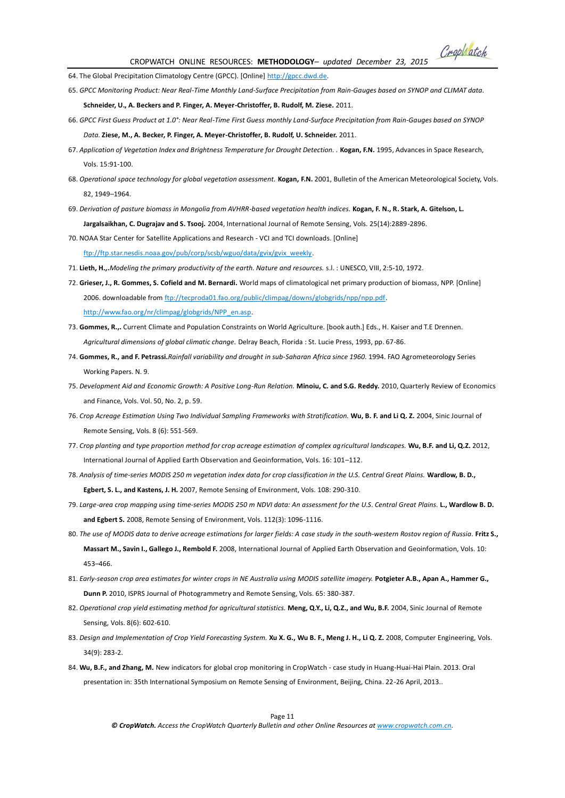Crophatch

64. The Global Precipitation Climatology Centre (GPCC). [Online] http://gpcc.dwd.de.

65. *GPCC Monitoring Product: Near Real-Time Monthly Land-Surface Precipitation from Rain-Gauges based on SYNOP and CLIMAT data.* 

**Schneider, U., A. Beckers and P. Finger, A. Meyer-Christoffer, B. Rudolf, M. Ziese.** 2011.

- 66. *GPCC First Guess Product at 1.0°: Near Real-Time First Guess monthly Land-Surface Precipitation from Rain-Gauges based on SYNOP Data.* **Ziese, M., A. Becker, P. Finger, A. Meyer-Christoffer, B. Rudolf, U. Schneider.** 2011.
- 67. Application of Vegetation Index and Brightness Temperature for Drought Detection. . **Kogan, F.N.** 1995, Advances in Space Research, Vols. 15:91-100.
- 68. Operational space technology for global vegetation assessment. **Kogan, F.N.** 2001, Bulletin of the American Meteorological Society, Vols. 82, 1949–1964.
- 69. *Derivation of pasture biomass in Mongolia from AVHRR-based vegetation health indices.* **Kogan, F. N., R. Stark, A. Gitelson, L. Jargalsaikhan, C. Dugrajav and S. Tsooj.** 2004, International Journal of Remote Sensing, Vols. 25(14):2889-2896.

70. NOAA Star Center for Satellite Applications and Research - VCI and TCI downloads. [Online]

[ftp://ftp.star.nesdis.noaa.gov/pub/corp/scsb/wguo/data/gvix/gvix\\_weekly.](ftp://ftp.star.nesdis.noaa.gov/pub/corp/scsb/wguo/data/gvix/gvix_weekly)

- 71. **Lieth, H.,.***Modeling the primary productivity of the earth. Nature and resources.* s.l. : UNESCO, VIII, 2:5-10, 1972.
- 72. **Grieser, J., R. Gommes, S. Cofield and M. Bernardi.** World maps of climatological net primary production of biomass, NPP. [Online] 2006. downloadable fro[m ftp://tecproda01.fao.org/public/climpag/downs/globgrids/npp/npp.pdf.](ftp://tecproda01.fao.org/public/climpag/downs/globgrids/npp/npp.pdf)  [http://www.fao.org/nr/climpag/globgrids/NPP\\_en.asp.](http://www.fao.org/nr/climpag/globgrids/NPP_en.asp)
- 73. **Gommes, R.,.** Current Climate and Population Constraints on World Agriculture. [book auth.] Eds., H. Kaiser and T.E Drennen. *Agricultural dimensions of global climatic change.* Delray Beach, Florida : St. Lucie Press, 1993, pp. 67-86.
- 74. **Gommes, R., and F. Petrassi.***Rainfall variability and drought in sub-Saharan Africa since 1960.* 1994. FAO Agrometeorology Series Working Papers. N. 9.
- 75. *Development Aid and Economic Growth: A Positive Long-Run Relation.* **Minoiu, C. and S.G. Reddy.** 2010, Quarterly Review of Economics and Finance, Vols. Vol. 50, No. 2, p. 59.
- 76. *Crop Acreage Estimation Using Two Individual Sampling Frameworks with Stratification.* **Wu, B. F. and Li Q. Z.** 2004, Sinic Journal of Remote Sensing, Vols. 8 (6): 551-569.
- 77. *Crop planting and type proportion method for crop acreage estimation of complex agricultural landscapes.* **Wu, B.F. and Li, Q.Z.** 2012, International Journal of Applied Earth Observation and Geoinformation, Vols. 16: 101–112.
- 78. *Analysis of time-series MODIS 250 m vegetation index data for crop classification in the U.S. Central Great Plains.* **Wardlow, B. D., Egbert, S. L., and Kastens, J. H.** 2007, Remote Sensing of Environment, Vols. 108: 290-310.
- 79. *Large-area crop mapping using time-series MODIS 250 m NDVI data: An assessment for the U.S. Central Great Plains.* **L., Wardlow B. D. and Egbert S.** 2008, Remote Sensing of Environment, Vols. 112(3): 1096-1116.
- 80. The use of MODIS data to derive acreage estimations for larger fields: A case study in the south-western Rostov region of Russia. Fritz S., **Massart M., Savin I., Gallego J., Rembold F.** 2008, International Journal of Applied Earth Observation and Geoinformation, Vols. 10: 453–466.
- 81. *Early-season crop area estimates for winter crops in NE Australia using MODIS satellite imagery.* **Potgieter A.B., Apan A., Hammer G., Dunn P.** 2010, ISPRS Journal of Photogrammetry and Remote Sensing, Vols. 65: 380-387.
- 82. Operational crop yield estimating method for agricultural statistics. **Meng, Q.Y., Li, Q.Z., and Wu, B.F.** 2004, Sinic Journal of Remote Sensing, Vols. 8(6): 602-610.
- 83. Design and Implementation of Crop Yield Forecasting System. Xu X. G., Wu B. F., Meng J. H., Li Q. Z. 2008, Computer Engineering, Vols. 34(9): 283-2.
- 84. **Wu, B.F., and Zhang, M.** New indicators for global crop monitoring in CropWatch case study in Huang-Huai-Hai Plain. 2013. Oral presentation in: 35th International Symposium on Remote Sensing of Environment, Beijing, China. 22-26 April, 2013..

Page 11

*© CropWatch. Access the CropWatch Quarterly Bulletin and other Online Resources at www.cropwatch.com.cn.*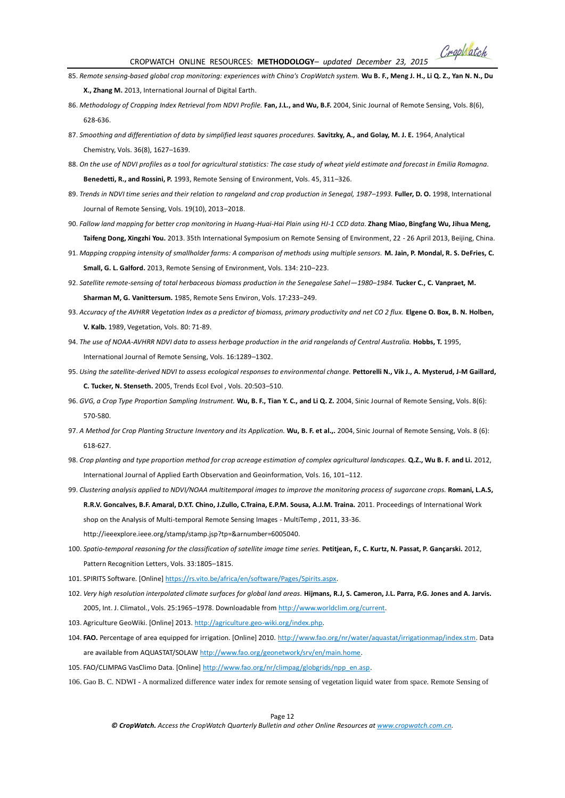Crophatch

- 85. *Remote sensing-based global crop monitoring: experiences with China's CropWatch system.* **Wu B. F., Meng J. H., Li Q. Z., Yan N. N., Du X., Zhang M.** 2013, International Journal of Digital Earth.
- 86. *Methodology of Cropping Index Retrieval from NDVI Profile.* **Fan, J.L., and Wu, B.F.** 2004, Sinic Journal of Remote Sensing, Vols. 8(6), 628-636.
- 87. Smoothing and differentiation of data by simplified least squares procedures. Savitzky, A., and Golay, M. J. E. 1964, Analytical Chemistry, Vols. 36(8), 1627–1639.
- 88. *On the use of NDVI profiles as a tool for agricultural statistics: The case study of wheat yield estimate and forecast in Emilia Romagna.*  **Benedetti, R., and Rossini, P.** 1993, Remote Sensing of Environment, Vols. 45, 311–326.
- 89. *Trends in NDVI time series and their relation to rangeland and crop production in Senegal, 1987–1993.* **Fuller, D. O.** 1998, International Journal of Remote Sensing, Vols. 19(10), 2013–2018.
- 90. *Fallow land mapping for better crop monitoring in Huang-Huai-Hai Plain using HJ-1 CCD data.* **Zhang Miao, Bingfang Wu, Jihua Meng, Taifeng Dong, Xingzhi You.** 2013. 35th International Symposium on Remote Sensing of Environment, 22 - 26 April 2013, Beijing, China.
- 91. *Mapping cropping intensity of smallholder farms: A comparison of methods using multiple sensors.* **M. Jain, P. Mondal, R. S. DeFries, C. Small, G. L. Galford.** 2013, Remote Sensing of Environment, Vols. 134: 210–223.
- 92. Satellite remote-sensing of total herbaceous biomass production in the Senegalese Sahel-1980-1984. Tucker C., C. Vanpraet, M. **Sharman M, G. Vanittersum.** 1985, Remote Sens Environ, Vols. 17:233–249.
- 93. *Accuracy of the AVHRR Vegetation Index as a predictor of biomass, primary productivity and net CO 2 flux.* **Elgene O. Box, B. N. Holben, V. Kalb.** 1989, Vegetation, Vols. 80: 71-89.
- 94. The use of NOAA-AVHRR NDVI data to assess herbage production in the arid rangelands of Central Australia. Hobbs, T. 1995, International Journal of Remote Sensing, Vols. 16:1289–1302.
- 95. *Using the satellite-derived NDVI to assess ecological responses to environmental change.* **Pettorelli N., Vik J., A. Mysterud, J-M Gaillard, C. Tucker, N. Stenseth.** 2005, Trends Ecol Evol , Vols. 20:503–510.
- 96. *GVG, a Crop Type Proportion Sampling Instrument.* **Wu, B. F., Tian Y. C., and Li Q. Z.** 2004, Sinic Journal of Remote Sensing, Vols. 8(6): 570-580.
- 97. A Method for Crop Planting Structure Inventory and its Application. Wu, B. F. et al.,. 2004, Sinic Journal of Remote Sensing, Vols. 8 (6): 618-627.
- 98. *Crop planting and type proportion method for crop acreage estimation of complex agricultural landscapes.* **Q.Z., Wu B. F. and Li.** 2012, International Journal of Applied Earth Observation and Geoinformation, Vols. 16, 101–112.
- 99. *Clustering analysis applied to NDVI/NOAA multitemporal images to improve the monitoring process of sugarcane crops.* **Romani, L.A.S, R.R.V. Goncalves, B.F. Amaral, D.Y.T. Chino, J.Zullo, C.Traina, E.P.M. Sousa, A.J.M. Traina.** 2011. Proceedings of International Work shop on the Analysis of Multi-temporal Remote Sensing Images - MultiTemp , 2011, 33-36. http://ieeexplore.ieee.org/stamp/stamp.jsp?tp=&arnumber=6005040.
- 100. *Spatio-temporal reasoning for the classification of satellite image time series.* **Petitjean, F., C. Kurtz, N. Passat, P. Gançarski.** 2012, Pattern Recognition Letters, Vols. 33:1805–1815.
- 101. SPIRITS Software. [Online[\] https://rs.vito.be/africa/en/software/Pages/Spirits.aspx.](https://rs.vito.be/africa/en/software/Pages/Spirits.aspx)
- 102. *Very high resolution interpolated climate surfaces for global land areas.* **Hijmans, R.J, S. Cameron, J.L. Parra, P.G. Jones and A. Jarvis.** 2005, Int. J. Climatol., Vols. 25:1965–1978. Downloadable fro[m http://www.worldclim.org/current.](http://www.worldclim.org/current)
- 103. Agriculture GeoWiki. [Online] 2013[. http://agriculture.geo-wiki.org/index.php.](http://agriculture.geo-wiki.org/index.php)
- 104. **FAO.** Percentage of area equipped for irrigation. [Online] 2010. [http://www.fao.org/nr/water/aquastat/irrigationmap/index.stm.](http://www.fao.org/nr/water/aquastat/irrigationmap/index.stm) Data are available from AQUASTAT/SOLA[W http://www.fao.org/geonetwork/srv/en/main.home.](http://www.fao.org/geonetwork/srv/en/main.home)
- 105. FAO/CLIMPAG VasClimo Data. [Online] [http://www.fao.org/nr/climpag/globgrids/npp\\_en.asp.](http://www.fao.org/nr/climpag/globgrids/npp_en.asp)
- 106. Gao B. C. NDWI A normalized difference water index for remote sensing of vegetation liquid water from space. Remote Sensing of

Page 12 *© CropWatch. Access the CropWatch Quarterly Bulletin and other Online Resources at www.cropwatch.com.cn.*